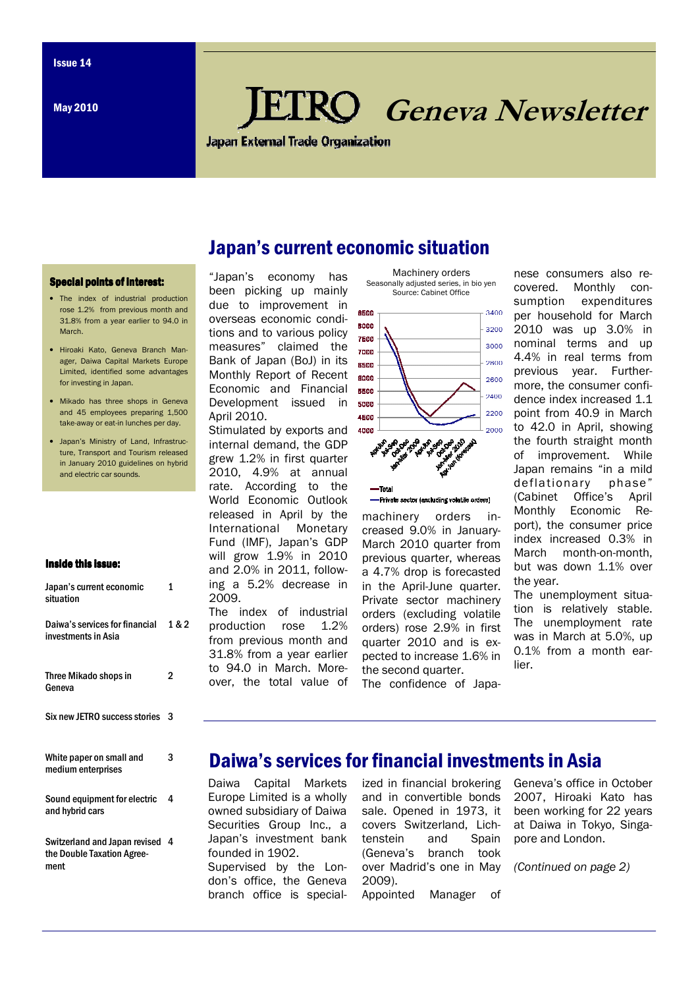**May 2010** 

# **RO** Geneva Newsletter

**Japan External Trade Organization** 

Japan's current economic situation

#### Special points of interest:

- The index of industrial production rose 1.2% from previous month and 31.8% from a year earlier to 94.0 in **March**
- Hiroaki Kato, Geneva Branch Manager, Daiwa Capital Markets Europe Limited, identified some advantages for investing in Japan.
- Mikado has three shops in Geneva and 45 employees preparing 1,500 take-away or eat-in lunches per day.
- Japan's Ministry of Land, Infrastructure, Transport and Tourism released in January 2010 guidelines on hybrid and electric car sounds.

#### Inside this issue:

| Japan's current economic<br>situation                 | 1     |
|-------------------------------------------------------|-------|
| Daiwa's services for financial<br>investments in Asia | 1 & 2 |
| Three Mikado shops in<br>Geneva                       | 2     |
| Six new JETRO success stories                         | 3     |
| White paper on small and<br>medium enterprises        | 3     |
| Sound equipment for electric<br>and hybrid cars       | 4     |
| Switzerland and Japan revised                         | 4     |

the Double Taxation Agreement

#### "Japan's economy has been picking up mainly due to improvement in overseas economic conditions and to various policy measures" claimed the Bank of Japan (BoJ) in its Monthly Report of Recent Economic and Financial Development issued in April 2010.

Stimulated by exports and internal demand, the GDP grew 1.2% in first quarter 2010, 4.9% at annual rate. According to the World Economic Outlook released in April by the International Monetary Fund (IMF), Japan's GDP will grow 1.9% in 2010 and 2.0% in 2011, following a 5.2% decrease in 2009.

The index of industrial production rose 1.2% from previous month and 31.8% from a year earlier to 94.0 in March. Moreover, the total value of



Machinery orders Seasonally adjusted series, in bio yen



```
-Private sector (excluding volatile orders)
```
-Total

machinery orders increased 9.0% in January-March 2010 quarter from previous quarter, whereas a 4.7% drop is forecasted in the April-June quarter. Private sector machinery orders (excluding volatile orders) rose 2.9% in first quarter 2010 and is expected to increase 1.6% in the second quarter.

The confidence of Japa-

nese consumers also recovered. Monthly consumption expenditures per household for March 2010 was up 3.0% in nominal terms and up 4.4% in real terms from previous year. Furthermore, the consumer confidence index increased 1.1 point from 40.9 in March to 42.0 in April, showing the fourth straight month of improvement. While Japan remains "in a mild deflationary phase" (Cabinet Office's April Monthly Economic Report), the consumer price index increased 0.3% in March month-on-month, but was down 1.1% over the year.

The unemployment situation is relatively stable. The unemployment rate was in March at 5.0%, up 0.1% from a month earlier.

### Daiwa's services for financial investments in Asia

Daiwa Capital Markets Europe Limited is a wholly owned subsidiary of Daiwa Securities Group Inc., a Japan's investment bank founded in 1902.

Supervised by the London's office, the Geneva branch office is specialized in financial brokering and in convertible bonds sale. Opened in 1973, it covers Switzerland, Lichtenstein and Spain (Geneva's branch took over Madrid's one in May 2009). Appointed Manager of

Geneva's office in October 2007, Hiroaki Kato has been working for 22 years at Daiwa in Tokyo, Singapore and London.

(Continued on page 2)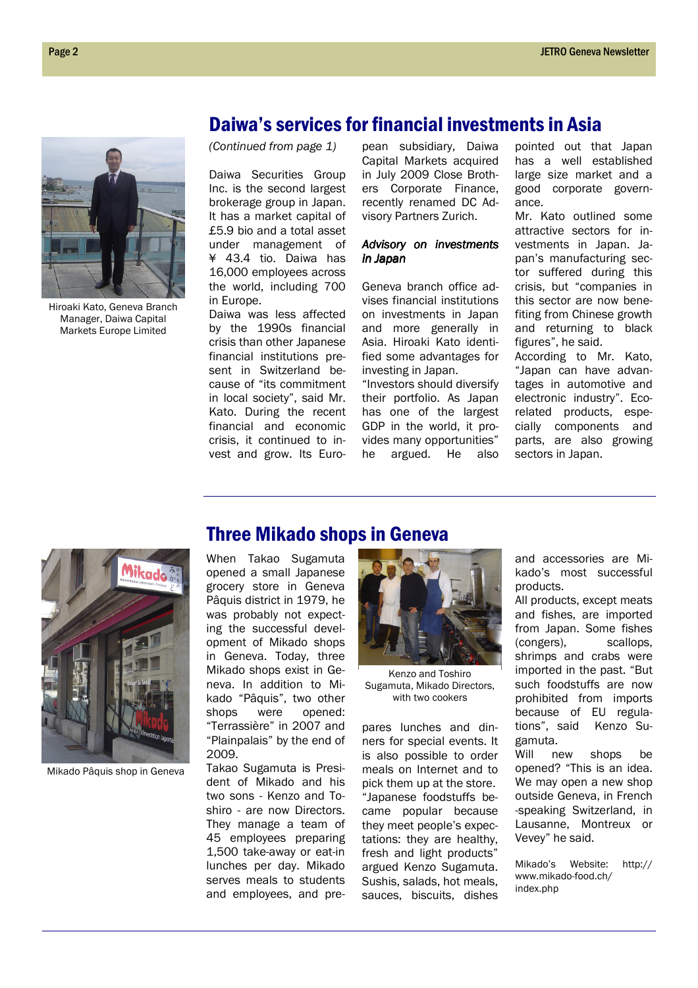Hiroaki Kato, Geneva Branch Manager, Daiwa Capital Markets Europe Limited

(Continued from page 1)

Daiwa Securities Group Inc. is the second largest brokerage group in Japan. It has a market capital of £5.9 bio and a total asset under management of ¥ 43.4 tio. Daiwa has 16,000 employees across the world, including 700 in Europe.

Daiwa was less affected by the 1990s financial crisis than other Japanese financial institutions present in Switzerland because of "its commitment in local society", said Mr. Kato. During the recent financial and economic crisis, it continued to invest and grow. Its Euro-

pean subsidiary, Daiwa Capital Markets acquired in July 2009 Close Brothers Corporate Finance, recently renamed DC Advisory Partners Zurich.

Daiwa's services for financial investments in Asia

#### Advisory on investments in Japan in Japan

Geneva branch office advises financial institutions on investments in Japan and more generally in Asia. Hiroaki Kato identified some advantages for investing in Japan.

"Investors should diversify their portfolio. As Japan has one of the largest GDP in the world, it provides many opportunities" he argued. He also

pointed out that Japan has a well established large size market and a good corporate governance.

Mr. Kato outlined some attractive sectors for investments in Japan. Japan's manufacturing sector suffered during this crisis, but "companies in this sector are now benefiting from Chinese growth and returning to black figures", he said.

According to Mr. Kato, "Japan can have advantages in automotive and electronic industry". Ecorelated products, especially components and parts, are also growing sectors in Japan.



Mikado Pâquis shop in Geneva

### Three Mikado shops in Geneva

When Takao Sugamuta opened a small Japanese grocery store in Geneva Pâquis district in 1979, he was probably not expecting the successful development of Mikado shops in Geneva. Today, three Mikado shops exist in Geneva. In addition to Mikado "Pâquis", two other shops were opened: "Terrassière" in 2007 and "Plainpalais" by the end of 2009.

Takao Sugamuta is President of Mikado and his two sons - Kenzo and Toshiro - are now Directors. They manage a team of 45 employees preparing 1,500 take-away or eat-in lunches per day. Mikado serves meals to students and employees, and pre-



Kenzo and Toshiro Sugamuta, Mikado Directors, with two cookers

pares lunches and dinners for special events. It is also possible to order meals on Internet and to pick them up at the store. "Japanese foodstuffs became popular because they meet people's expectations: they are healthy, fresh and light products" argued Kenzo Sugamuta. Sushis, salads, hot meals, sauces, biscuits, dishes

and accessories are Mikado's most successful products.

All products, except meats and fishes, are imported from Japan. Some fishes (congers), scallops, shrimps and crabs were imported in the past. "But such foodstuffs are now prohibited from imports because of EU regulations", said Kenzo Sugamuta.

Will new shops be opened? "This is an idea. We may open a new shop outside Geneva, in French -speaking Switzerland, in Lausanne, Montreux or Vevey" he said.

Mikado's Website: http:// www.mikado-food.ch/ index.php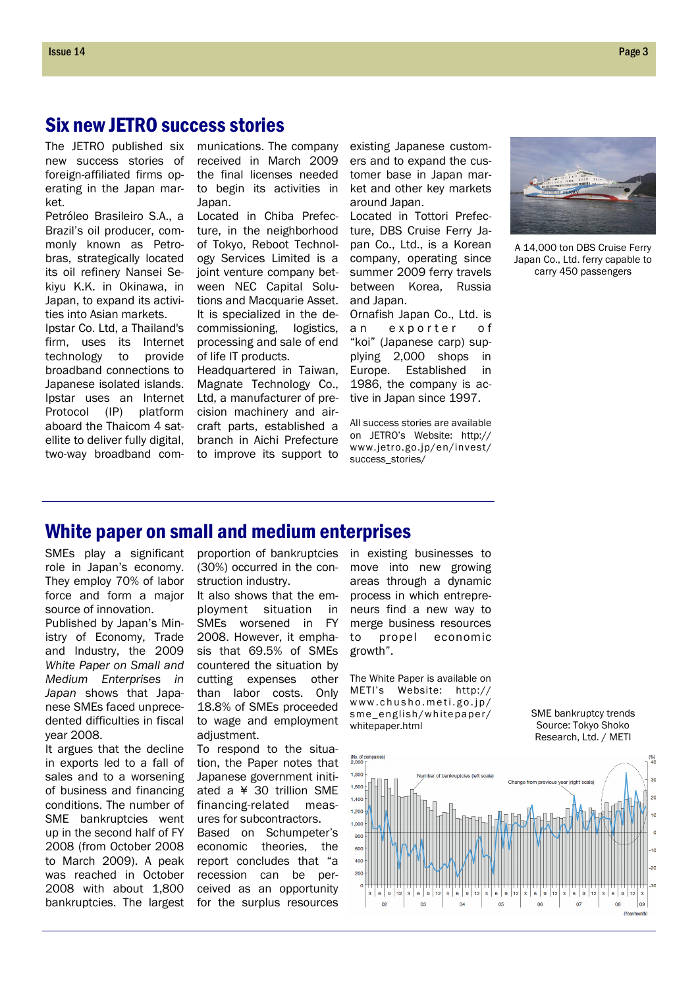### Six new JETRO success stories

The JETRO published six new success stories of foreign-affiliated firms operating in the Japan market.

Petróleo Brasileiro S.A., a Brazil's oil producer, commonly known as Petrobras, strategically located its oil refinery Nansei Sekiyu K.K. in Okinawa, in Japan, to expand its activities into Asian markets.

Ipstar Co. Ltd, a Thailand's firm, uses its Internet technology to provide broadband connections to Japanese isolated islands. Ipstar uses an Internet Protocol (IP) platform aboard the Thaicom 4 satellite to deliver fully digital, two-way broadband communications. The company received in March 2009 the final licenses needed to begin its activities in Japan.

Located in Chiba Prefecture, in the neighborhood of Tokyo, Reboot Technology Services Limited is a joint venture company between NEC Capital Solutions and Macquarie Asset. It is specialized in the decommissioning, logistics, processing and sale of end of life IT products.

Headquartered in Taiwan, Magnate Technology Co., Ltd, a manufacturer of precision machinery and aircraft parts, established a branch in Aichi Prefecture to improve its support to existing Japanese customers and to expand the customer base in Japan market and other key markets around Japan.

Located in Tottori Prefecture, DBS Cruise Ferry Japan Co., Ltd., is a Korean company, operating since summer 2009 ferry travels between Korea, Russia and Japan.

Ornafish Japan Co., Ltd. is an exporter of "koi" (Japanese carp) supplying 2,000 shops in Europe. Established in 1986, the company is active in Japan since 1997.

All success stories are available on JETRO's Website: http:// www.jetro.go.jp/en/invest/ success\_stories/



A 14,000 ton DBS Cruise Ferry Japan Co., Ltd. ferry capable to carry 450 passengers

### White paper on small and medium enterprises

SMEs play a significant role in Japan's economy. They employ 70% of labor force and form a major source of innovation.

Published by Japan's Ministry of Economy, Trade and Industry, the 2009 White Paper on Small and Medium Enterprises in Japan shows that Japanese SMEs faced unprecedented difficulties in fiscal year 2008.

It argues that the decline in exports led to a fall of sales and to a worsening of business and financing conditions. The number of SME bankruptcies went up in the second half of FY 2008 (from October 2008 to March 2009). A peak was reached in October 2008 with about 1,800 bankruptcies. The largest proportion of bankruptcies (30%) occurred in the construction industry.

It also shows that the employment situation in SMEs worsened in FY 2008. However, it emphasis that 69.5% of SMEs countered the situation by cutting expenses other than labor costs. Only 18.8% of SMEs proceeded to wage and employment adjustment.

To respond to the situation, the Paper notes that Japanese government initiated a ¥ 30 trillion SME financing-related measures for subcontractors.

Based on Schumpeter's economic theories, the report concludes that "a recession can be perceived as an opportunity for the surplus resources in existing businesses to move into new growing areas through a dynamic process in which entrepreneurs find a new way to merge business resources to propel economic growth".

The White Paper is available on METI's Website: http:// www.chusho.meti.go.jp/ sme\_english/whitepaper/ whitepaper.html